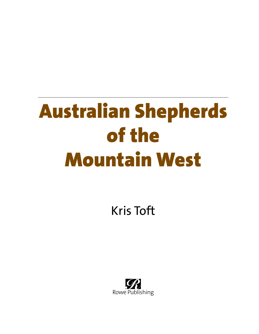# Australian Shepherds of the Mountain West

Kris Toft

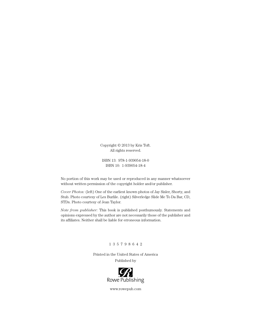Copyright © 2013 by Kris Toft. All rights reserved.

ISBN 13: 978-1-939054-18-0 ISBN 10: 1-939054-18-4

No portion of this work may be used or reproduced in any manner whatsoever without written permission of the copyright holder and/or publisher.

*Cover Photos:* (left) One of the earliest known photos of Jay Sisler, Shorty, and Stub. Photo courtesy of Les Burlile. (right) Silverledge Slide Me To Da Bar, CD, STDs. Photo courtesy of Jean Taylor.

*Note from publisher:* This book is published posthumously. Statements and opinions expressed by the author are not necessarily those of the publisher and its affiliates. Neither shall be liable for erroneous information.

#### 1 3 5 7 9 8 6 4 2

Printed in the United States of America Published by



www.rowepub.com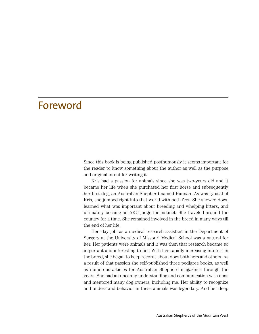#### Foreword

Since this book is being published posthumously it seems important for the reader to know something about the author as well as the purpose and original intent for writing it.

Kris had a passion for animals since she was two-years old and it became her life when she purchased her first horse and subsequently her first dog, an Australian Shepherd named Hannah. As was typical of Kris, she jumped right into that world with both feet. She showed dogs, learned what was important about breeding and whelping litters, and ultimately became an AKC judge for instinct. She traveled around the country for a time. She remained involved in the breed in many ways till the end of her life.

Her 'day job' as a medical research assistant in the Department of Surgery at the University of Missouri Medical School was a natural for her. Her patients were animals and it was then that research became so important and interesting to her. With her rapidly increasing interest in the breed, she began to keep records about dogs both hers and others. As a result of that passion she self-published three pedigree books, as well as numerous articles for Australian Shepherd magazines through the years. She had an uncanny understanding and communication with dogs and mentored many dog owners, including me. Her ability to recognize and understand behavior in these animals was legendary. And her deep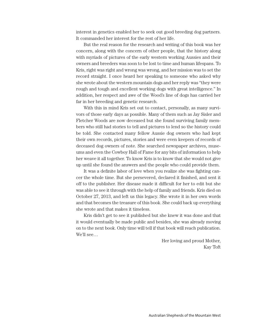interest in genetics enabled her to seek out good breeding dog partners. It commanded her interest for the rest of her life.

But the real reason for the research and writing of this book was her concern, along with the concern of other people, that the history along with myriads of pictures of the early western working Aussies and their owners and breeders was soon to be lost to time and human lifespans. To Kris, right was right and wrong was wrong, and her mission was to set the record straight. I once heard her speaking to someone who asked why she wrote about the western mountain dogs and her reply was "they were rough and tough and excellent working dogs with great intelligence." In addition, her respect and awe of the Wood's line of dogs has carried her far in her breeding and genetic research.

With this in mind Kris set out to contact, personally, as many survivors of those early days as possible. Many of them such as Jay Sisler and Fletcher Woods are now deceased but she found surviving family members who still had stories to tell and pictures to lend so the history could be told. She contacted many fellow Aussie dog owners who had kept their own records, pictures, stories and were even keepers of records of deceased dog owners of note. She searched newspaper archives, museums and even the Cowboy Hall of Fame for any bits of information to help her weave it all together. To know Kris is to know that she would not give up until she found the answers and the people who could provide them.

It was a definite labor of love when you realize she was fighting cancer the whole time. But she persevered, declared it finished, and sent it off to the publisher. Her disease made it difficult for her to edit but she was able to see it through with the help of family and friends. Kris died on October 27, 2013, and left us this legacy. She wrote it in her own words and that becomes the treasure of this book. She could back up everything she wrote and that makes it timeless.

Kris didn't get to see it published but she knew it was done and that it would eventually be made public and besides, she was already moving on to the next book. Only time will tell if that book will reach publication. We'll see…

> Her loving and proud Mother, Kay Toft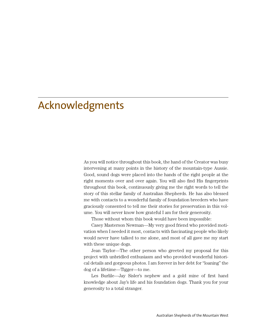## Acknowledgments

As you will notice throughout this book, the hand of the Creator was busy intervening at many points in the history of the mountain-type Aussie. Good, sound dogs were placed into the hands of the right people at the right moments over and over again. You will also find His fingerprints throughout this book, continuously giving me the right words to tell the story of this stellar family of Australian Shepherds. He has also blessed me with contacts to a wonderful family of foundation breeders who have graciously consented to tell me their stories for preservation in this volume. You will never know how grateful I am for their generosity.

Those without whom this book would have been impossible:

Casey Masterson Newman—My very good friend who provided motivation when I needed it most, contacts with fascinating people who likely would never have talked to me alone, and most of all gave me my start with these unique dogs.

Jean Taylor—The other person who greeted my proposal for this project with unbridled enthusiasm and who provided wonderful historical details and gorgeous photos. I am forever in her debt for "loaning" the dog of a lifetime—Tigger—to me.

Les Burlile—Jay Sisler's nephew and a gold mine of first hand knowledge about Jay's life and his foundation dogs. Thank you for your generosity to a total stranger.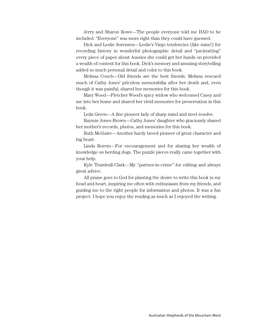Jerry and Sharon Rowe—The people everyone told me HAD to be included. "Everyone" was more right than they could have guessed.

Dick and Leslie Sorensen—Leslie's Virgo tendencies (like mine!) for recording history in wonderful photographic detail and "packratting" every piece of paper about Aussies she could get her hands on provided a wealth of content for this book. Dick's memory and amusing storytelling added so much personal detail and color to this book.

Melissa Couch—Old friends are the best friends. Melissa rescued much of Cathy Jones' priceless memorabilia after her death and, even though it was painful, shared her memories for this book.

Mary Wood—Fletcher Wood's spicy widow who welcomed Casey and me into her home and shared her vivid memories for preservation in this book.

Leila Green—A fine pioneer lady of sharp mind and steel resolve.

Raymie Jones-Brown—Cathy Jones' daughter who graciously shared her mother's records, photos, and memories for this book.

Ruth McGuire—Another hardy breed pioneer of great character and big heart.

Linda Rorem—For encouragement and for sharing her wealth of knowledge on herding dogs. The puzzle pieces really came together with your help.

Kyle Trumbull-Clark—My "partner-in-crime" for editing and always great advice.

All praise goes to God for planting the desire to write this book in my head and heart, inspiring me often with enthusiasm from my friends, and guiding me to the right people for information and photos. It was a fun project. I hope you enjoy the reading as much as I enjoyed the writing.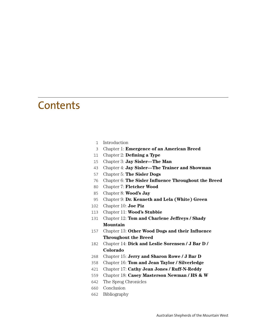#### **Contents**

- Introduction
- Chapter 1: **Emergence of an American Breed**
- Chapter 2: **Defining a Type**
- Chapter 3: **Jay Sisler—The Man**
- Chapter 4: **Jay Sisler—The Trainer and Showman**
- Chapter 5: **The Sisler Dogs**
- Chapter 6: **The Sisler Influence Throughout the Breed**
- Chapter 7: **Fletcher Wood**
- Chapter 8: **Wood's Jay**
- Chapter 9: **Dr. Kenneth and Lela (White) Green**
- Chapter 10: **Joe Piz**
- Chapter 11: **Wood's Stubbie**
- Chapter 12: **Tom and Charlene Jeffreys / Shady Mountain**
- Chapter 13: **Other Wood Dogs and their Influence Throughout the Breed**
- Chapter 14: **Dick and Leslie Sorensen / J Bar D / Colorado**
- Chapter 15: **Jerry and Sharon Rowe / J Bar D**
- Chapter 16: **Tom and Jean Taylor / Silverledge**
- Chapter 17: **Cathy Jean Jones / Ruff-N-Reddy**
- Chapter 18: **Casey Masterson Newman / HS & W**
- The Sprog Chronicles
- Conclusion
- Bibliography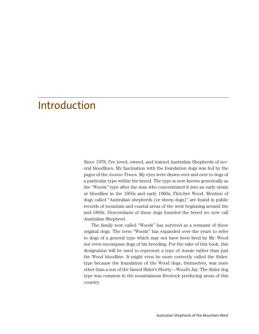### Introduction

Since 1978, I've loved, owned, and trained Australian Shepherds of several bloodlines. My fascination with the foundation dogs was fed by the pages of the *Aussie Times*. My eyes were drawn over and over to dogs of a particular type within the breed. The type is now known generically as the "Woods" type after the man who concentrated it into an early strain or bloodline in the 1950s and early 1960s, Fletcher Wood. Mention of dogs called "Australian shepherds (or sheep dogs)" are found in public records of mountain and coastal areas of the west beginning around the mid-1800s. Descendants of these dogs founded the breed we now call Australian Shepherd.

The family now called "Woods" has survived as a remnant of these original dogs. The term "Woods" has expanded over the years to refer to dogs of a general type which may not have been bred by Mr. Wood nor even encompass dogs of his breeding. For the sake of this book, this designation will be used to represent a type of Aussie rather than just the Wood bloodline. It might even be more correctly called the Sislertype because the foundation of the Wood dogs, themselves, was none other than a son of the famed Sisler's Shorty—Wood's Jay. The Sisler dog type was common in the mountainous livestock producing areas of this country.